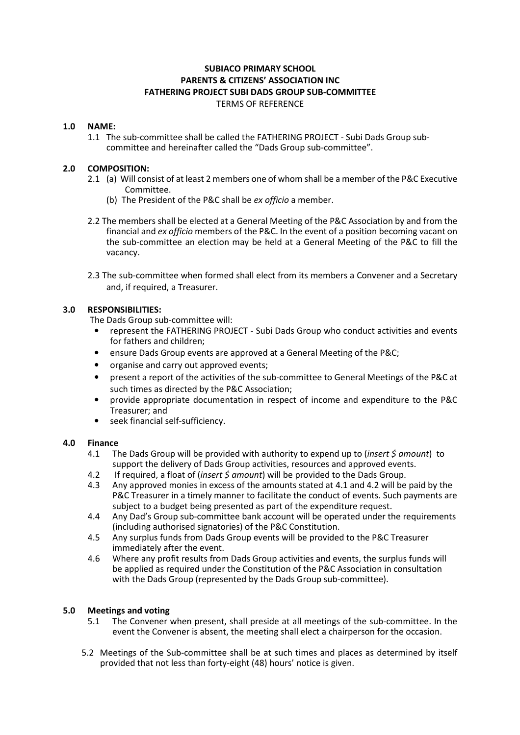# SUBIACO PRIMARY SCHOOL PARENTS & CITIZENS' ASSOCIATION INC FATHERING PROJECT SUBI DADS GROUP SUB-COMMITTEE TERMS OF REFERENCE

## 1.0 NAME:

 1.1 The sub-committee shall be called the FATHERING PROJECT - Subi Dads Group subcommittee and hereinafter called the "Dads Group sub-committee".

#### 2.0 COMPOSITION:

- 2.1 (a) Will consist of at least 2 members one of whom shall be a member of the P&C Executive Committee.
	- (b) The President of the P&C shall be ex officio a member.
- 2.2 The members shall be elected at a General Meeting of the P&C Association by and from the financial and ex officio members of the P&C. In the event of a position becoming vacant on the sub-committee an election may be held at a General Meeting of the P&C to fill the vacancy.
- 2.3 The sub-committee when formed shall elect from its members a Convener and a Secretary and, if required, a Treasurer.

## 3.0 RESPONSIBILITIES:

The Dads Group sub-committee will:

- represent the FATHERING PROJECT Subi Dads Group who conduct activities and events for fathers and children;
- ensure Dads Group events are approved at a General Meeting of the P&C;
- organise and carry out approved events;
- present a report of the activities of the sub-committee to General Meetings of the P&C at such times as directed by the P&C Association;
- provide appropriate documentation in respect of income and expenditure to the P&C Treasurer; and
- seek financial self-sufficiency.

## 4.0 Finance

- 4.1 The Dads Group will be provided with authority to expend up to (*insert \$ amount*) to support the delivery of Dads Group activities, resources and approved events.
- 4.2 If required, a float of (*insert \$ amount*) will be provided to the Dads Group.
- 4.3 Any approved monies in excess of the amounts stated at 4.1 and 4.2 will be paid by the P&C Treasurer in a timely manner to facilitate the conduct of events. Such payments are subject to a budget being presented as part of the expenditure request.
- 4.4 Any Dad's Group sub-committee bank account will be operated under the requirements (including authorised signatories) of the P&C Constitution.
- 4.5 Any surplus funds from Dads Group events will be provided to the P&C Treasurer immediately after the event.
- 4.6 Where any profit results from Dads Group activities and events, the surplus funds will be applied as required under the Constitution of the P&C Association in consultation with the Dads Group (represented by the Dads Group sub-committee).

## 5.0 Meetings and voting

- 5.1 The Convener when present, shall preside at all meetings of the sub-committee. In the event the Convener is absent, the meeting shall elect a chairperson for the occasion.
- 5.2 Meetings of the Sub-committee shall be at such times and places as determined by itself provided that not less than forty-eight (48) hours' notice is given.